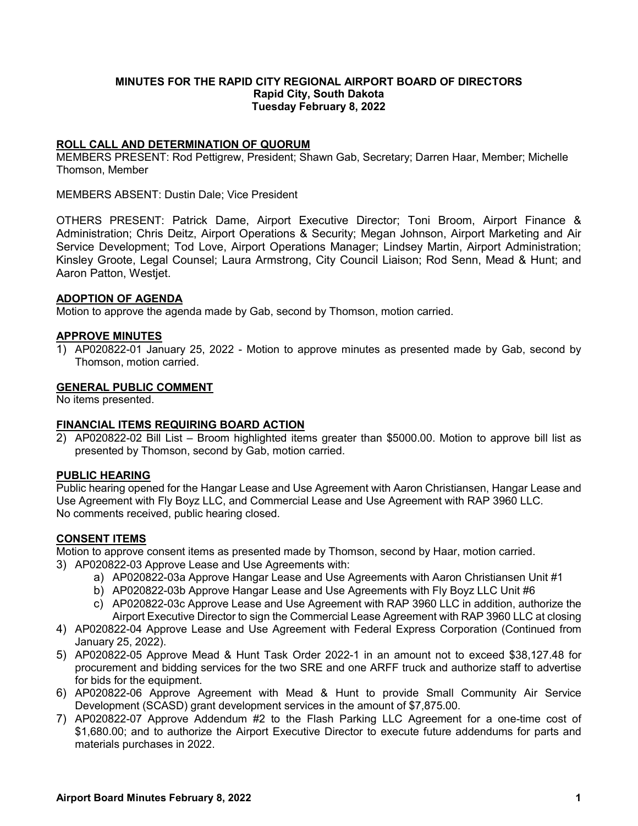## **MINUTES FOR THE RAPID CITY REGIONAL AIRPORT BOARD OF DIRECTORS Rapid City, South Dakota Tuesday February 8, 2022**

## **ROLL CALL AND DETERMINATION OF QUORUM**

MEMBERS PRESENT: Rod Pettigrew, President; Shawn Gab, Secretary; Darren Haar, Member; Michelle Thomson, Member

MEMBERS ABSENT: Dustin Dale; Vice President

OTHERS PRESENT: Patrick Dame, Airport Executive Director; Toni Broom, Airport Finance & Administration; Chris Deitz, Airport Operations & Security; Megan Johnson, Airport Marketing and Air Service Development; Tod Love, Airport Operations Manager; Lindsey Martin, Airport Administration; Kinsley Groote, Legal Counsel; Laura Armstrong, City Council Liaison; Rod Senn, Mead & Hunt; and Aaron Patton, Westjet.

## **ADOPTION OF AGENDA**

Motion to approve the agenda made by Gab, second by Thomson, motion carried.

## **APPROVE MINUTES**

1) AP020822-01 January 25, 2022 - Motion to approve minutes as presented made by Gab, second by Thomson, motion carried.

## **GENERAL PUBLIC COMMENT**

No items presented.

#### **FINANCIAL ITEMS REQUIRING BOARD ACTION**

2) AP020822-02 Bill List – Broom highlighted items greater than \$5000.00. Motion to approve bill list as presented by Thomson, second by Gab, motion carried.

#### **PUBLIC HEARING**

Public hearing opened for the Hangar Lease and Use Agreement with Aaron Christiansen, Hangar Lease and Use Agreement with Fly Boyz LLC, and Commercial Lease and Use Agreement with RAP 3960 LLC. No comments received, public hearing closed.

# **CONSENT ITEMS**

Motion to approve consent items as presented made by Thomson, second by Haar, motion carried.

- 3) AP020822-03 Approve Lease and Use Agreements with:
	- a) AP020822-03a Approve Hangar Lease and Use Agreements with Aaron Christiansen Unit #1
	- b) AP020822-03b Approve Hangar Lease and Use Agreements with Fly Boyz LLC Unit #6
	- c) AP020822-03c Approve Lease and Use Agreement with RAP 3960 LLC in addition, authorize the Airport Executive Director to sign the Commercial Lease Agreement with RAP 3960 LLC at closing
- 4) AP020822-04 Approve Lease and Use Agreement with Federal Express Corporation (Continued from January 25, 2022).
- 5) AP020822-05 Approve Mead & Hunt Task Order 2022-1 in an amount not to exceed \$38,127.48 for procurement and bidding services for the two SRE and one ARFF truck and authorize staff to advertise for bids for the equipment.
- 6) AP020822-06 Approve Agreement with Mead & Hunt to provide Small Community Air Service Development (SCASD) grant development services in the amount of \$7,875.00.
- 7) AP020822-07 Approve Addendum #2 to the Flash Parking LLC Agreement for a one-time cost of \$1,680.00; and to authorize the Airport Executive Director to execute future addendums for parts and materials purchases in 2022.